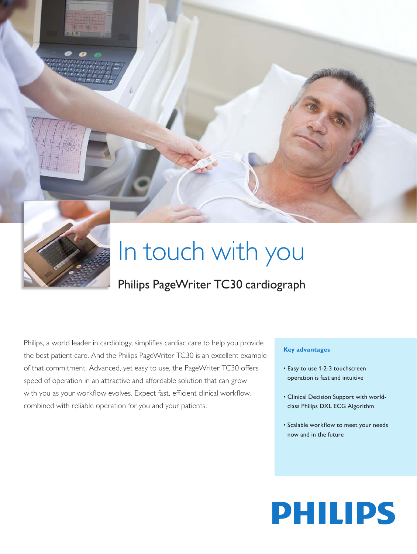



# In touch with you

# Philips PageWriter TC30 cardiograph

Philips, a world leader in cardiology, simplifies cardiac care to help you provide the best patient care. And the Philips PageWriter TC30 is an excellent example of that commitment. Advanced, yet easy to use, the PageWriter TC30 offers speed of operation in an attractive and affordable solution that can grow with you as your workflow evolves. Expect fast, efficient clinical workflow, combined with reliable operation for you and your patients.

#### **Key advantages**

- • Easy to use 1-2-3 touchscreen operation is fast and intuitive
- • Clinical Decision Support with worldclass Philips DXL ECG Algorithm
- • Scalable workflow to meet your needs now and in the future

# **PHILIPS**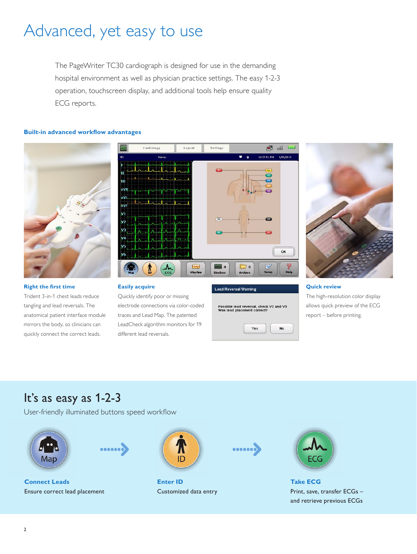# Advanced, yet easy to use

The PageWriter TC30 cardiograph is designed for use in the demanding hospital environment as well as physician practice settings. The easy 1-2-3 operation, touchscreen display, and additional tools help ensure quality ECG reports.

#### **Built-in advanced workflow advantages**



#### **Right the first time**

Trident 3-in-1 chest leads reduce tangling and lead reversals. The anatomical patient interface module mirrors the body, so clinicians can quickly connect the correct leads.



#### **Easily acquire**

Quickly identify poor or missing electrode connections via color-coded traces and Lead Map. The patented LeadCheck algorithm monitors for 19 different lead reversals.







#### **Quick review**

The high-resolution color display allows quick preview of the ECG report – before printing.

## It's as easy as 1-2-3

User-friendly illuminated buttons speed workflow





**Connect Leads** Ensure correct lead placement



**Enter ID** Customized data entry





**Take ECG** Print, save, transfer ECGs – and retrieve previous ECGs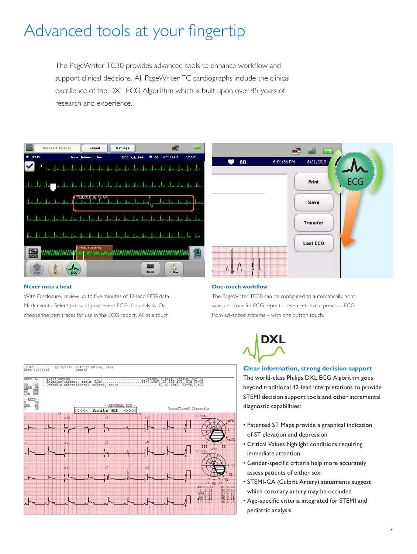# Advanced tools at your fingertip

The PageWriter TC30 provides advanced tools to enhance workflow and support clinical decisions. All PageWriter TC cardiographs include the clinical excellence of the DXL ECG Algorithm which is built upon over 45 years of research and experience.



#### **Never miss a beat**

With Disclosure, review up to five minutes of 12-lead ECG data. Mark events. Select pre- and post-event ECGs for analysis. Or choose the best traces for use in the ECG report. All at a touch.



#### **One-touch workflow**

The PageWriter TC30 can be configured to automatically print, save, and transfer ECG reports - even retrieve a previous ECG from advanced systems – with one button touch.



#### **Clear information, strong decision support**

The world-class Philips DXL ECG Algorithm goes beyond traditional 12-lead interpretations to provide STEMI decision support tools and other incremental diagnostic capabilities:

- Patented ST Maps provide a graphical indication of ST elevation and depression
- • Critical Values highlight conditions requiring immediate attention
- • Gender-specific criteria help more accurately assess patients of either sex
- • STEMI-CA (Culprit Artery) statements suggest which coronary artery may be occluded
- • Age-specific criteria integrated for STEMI and pediatric analysis